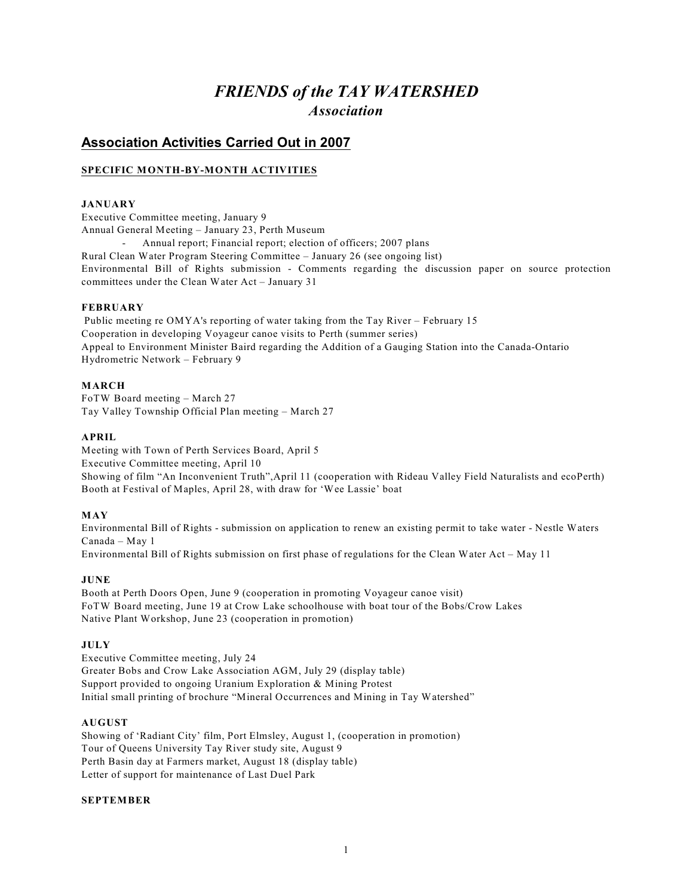# *FRIENDS of the TAY WATERSHED Association*

# **Association Activities Carried Out in 2007**

### **SPECIFIC MONTH-BY-MONTH ACTIVITIES**

#### **JANUARY**

Executive Committee meeting, January 9 Annual General Meeting – January 23, Perth Museum Annual report; Financial report; election of officers; 2007 plans Rural Clean Water Program Steering Committee – January 26 (see ongoing list) Environmental Bill of Rights submission - Comments regarding the discussion paper on source protection committees under the Clean Water Act – January 31

#### **FEBRUARY**

 Public meeting re OMYA's reporting of water taking from the Tay River – February 15 Cooperation in developing Voyageur canoe visits to Perth (summer series) Appeal to Environment Minister Baird regarding the Addition of a Gauging Station into the Canada-Ontario Hydrometric Network – February 9

#### **MARCH**

FoTW Board meeting – March 27 Tay Valley Township Official Plan meeting – March 27

#### **APRIL**

Meeting with Town of Perth Services Board, April 5 Executive Committee meeting, April 10 Showing of film "An Inconvenient Truth",April 11 (cooperation with Rideau Valley Field Naturalists and ecoPerth) Booth at Festival of Maples, April 28, with draw for 'Wee Lassie' boat

#### **MAY**

Environmental Bill of Rights - submission on application to renew an existing permit to take water - Nestle Waters Canada – May 1 Environmental Bill of Rights submission on first phase of regulations for the Clean Water Act – May 11

#### **JUNE**

Booth at Perth Doors Open, June 9 (cooperation in promoting Voyageur canoe visit) FoTW Board meeting, June 19 at Crow Lake schoolhouse with boat tour of the Bobs/Crow Lakes Native Plant Workshop, June 23 (cooperation in promotion)

#### **JULY**

Executive Committee meeting, July 24 Greater Bobs and Crow Lake Association AGM, July 29 (display table) Support provided to ongoing Uranium Exploration & Mining Protest Initial small printing of brochure "Mineral Occurrences and Mining in Tay Watershed"

#### **AUGUST**

Showing of 'Radiant City' film, Port Elmsley, August 1, (cooperation in promotion) Tour of Queens University Tay River study site, August 9 Perth Basin day at Farmers market, August 18 (display table) Letter of support for maintenance of Last Duel Park

#### **SEPTEMBER**